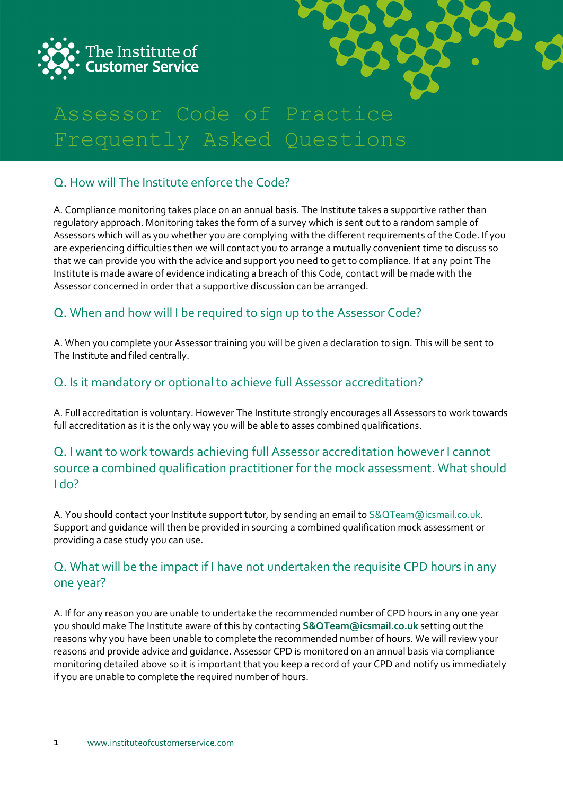



# Assessor Code of Practice Frequently Asked Questions

# Q. How will The Institute enforce the Code?

A. Compliance monitoring takes place on an annual basis. The Institute takes a supportive rather than regulatory approach. Monitoring takes the form of a survey which is sent out to a random sample of Assessors which will as you whether you are complying with the different requirements of the Code. If you are experiencing difficulties then we will contact you to arrange a mutually convenient time to discuss so that we can provide you with the advice and support you need to get to compliance. If at any point The Institute is made aware of evidence indicating a breach of this Code, contact will be made with the Assessor concerned in order that a supportive discussion can be arranged.

# Q. When and how will I be required to sign up to the Assessor Code?

A. When you complete your Assessor training you will be given a declaration to sign. This will be sent to The Institute and filed centrally.

#### Q. Is it mandatory or optional to achieve full Assessor accreditation?

A. Full accreditation is voluntary. However The Institute strongly encourages all Assessors to work towards full accreditation as it is the only way you will be able to asses combined qualifications.

# Q. I want to work towards achieving full Assessor accreditation however I cannot source a combined qualification practitioner for the mock assessment. What should I do?

A. You should contact your Institute support tutor, by sending an email to S&QTeam@icsmail.co.uk. Support and guidance will then be provided in sourcing a combined qualification mock assessment or providing a case study you can use.

# Q. What will be the impact if I have not undertaken the requisite CPD hours in any one year?

A. If for any reason you are unable to undertake the recommended number of CPD hours in any one year you should make The Institute aware of this by contacting **[S&QTeam@icsmail.co.uk](mailto:S&QTeam@icsmail.co.uk)** setting out the reasons why you have been unable to complete the recommended number of hours. We will review your reasons and provide advice and guidance. Assessor CPD is monitored on an annual basis via compliance monitoring detailed above so it is important that you keep a record of your CPD and notify us immediately if you are unable to complete the required number of hours.